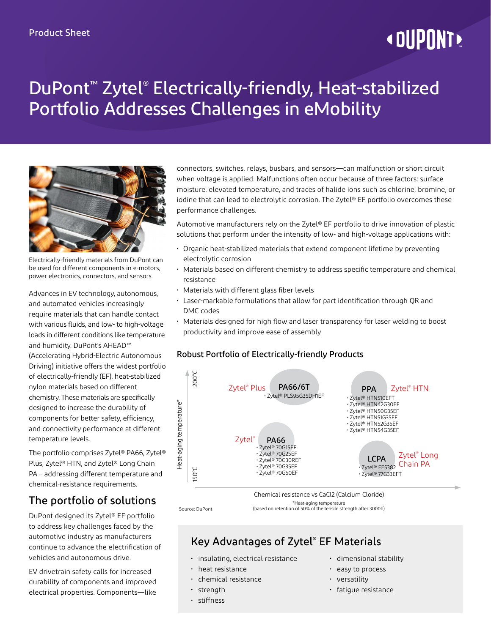# **« DUPONT!**

## DuPont™ Zytel® Electrically-friendly, Heat-stabilized Portfolio Addresses Challenges in eMobility



Electrically-friendly materials from DuPont can be used for different components in e-motors, power electronics, connectors, and sensors.

Advances in EV technology, autonomous, and automated vehicles increasingly require materials that can handle contact with various fluids, and low- to high-voltage loads in different conditions like temperature and humidity. DuPont's AHEAD™ (Accelerating Hybrid-Electric Autonomous Driving) initiative offers the widest portfolio of electrically-friendly (EF), heat-stabilized nylon materials based on different chemistry. These materials are specifically designed to increase the durability of components for better safety, efficiency, and connectivity performance at different temperature levels.

The portfolio comprises Zytel® PA66, Zytel® Plus, Zytel® HTN, and Zytel® Long Chain PA – addressing different temperature and chemical-resistance requirements.

## The portfolio of solutions

DuPont designed its Zytel® EF portfolio to address key challenges faced by the automotive industry as manufacturers continue to advance the electrification of vehicles and autonomous drive.

EV drivetrain safety calls for increased durability of components and improved electrical properties. Components—like connectors, switches, relays, busbars, and sensors—can malfunction or short circuit when voltage is applied. Malfunctions often occur because of three factors: surface moisture, elevated temperature, and traces of halide ions such as chlorine, bromine, or iodine that can lead to electrolytic corrosion. The Zytel® EF portfolio overcomes these performance challenges.

Automotive manufacturers rely on the Zytel® EF portfolio to drive innovation of plastic solutions that perform under the intensity of low- and high-voltage applications with:

- Organic heat-stabilized materials that extend component lifetime by preventing electrolytic corrosion
- Materials based on different chemistry to address specific temperature and chemical resistance
- Materials with different glass fiber levels
- Laser-markable formulations that allow for part identification through QR and DMC codes
- Materials designed for high flow and laser transparency for laser welding to boost productivity and improve ease of assembly

### Robust Portfolio of Electrically-friendly Products



Source: DuPont

\*Heat-aging temperature (based on retention of 50% of the tensile strength after 3000h)

## Key Advantages of Zytel® EF Materials

- insulating, electrical resistance
- heat resistance
- chemical resistance
- strength
- stiffness
- dimensional stability
- easy to process
- versatility
- fatigue resistance